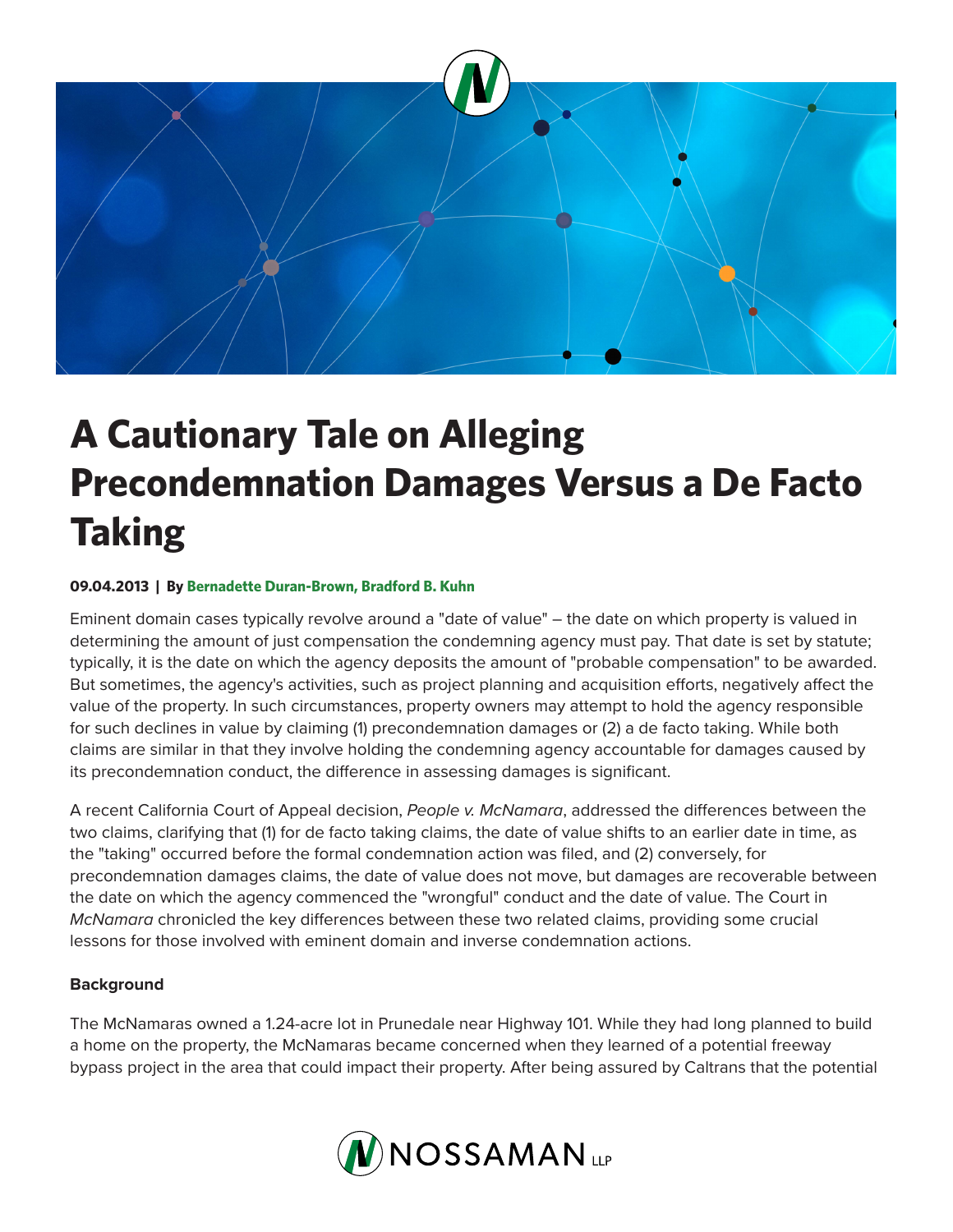

# **A Cautionary Tale on Alleging Precondemnation Damages Versus a De Facto Taking**

## **09.04.2013 | By Bernadette Duran-Brown, Bradford B. Kuhn**

Eminent domain cases typically revolve around a "date of value" – the date on which property is valued in determining the amount of just compensation the condemning agency must pay. That date is set by statute; typically, it is the date on which the agency deposits the amount of "probable compensation" to be awarded. But sometimes, the agency's activities, such as project planning and acquisition efforts, negatively affect the value of the property. In such circumstances, property owners may attempt to hold the agency responsible for such declines in value by claiming (1) precondemnation damages or (2) a de facto taking. While both claims are similar in that they involve holding the condemning agency accountable for damages caused by its precondemnation conduct, the difference in assessing damages is significant.

A recent California Court of Appeal decision, *People v. McNamara*, addressed the differences between the two claims, clarifying that (1) for de facto taking claims, the date of value shifts to an earlier date in time, as the "taking" occurred before the formal condemnation action was filed, and (2) conversely, for precondemnation damages claims, the date of value does not move, but damages are recoverable between the date on which the agency commenced the "wrongful" conduct and the date of value. The Court in *McNamara* chronicled the key differences between these two related claims, providing some crucial lessons for those involved with eminent domain and inverse condemnation actions.

### **Background**

The McNamaras owned a 1.24-acre lot in Prunedale near Highway 101. While they had long planned to build a home on the property, the McNamaras became concerned when they learned of a potential freeway bypass project in the area that could impact their property. After being assured by Caltrans that the potential

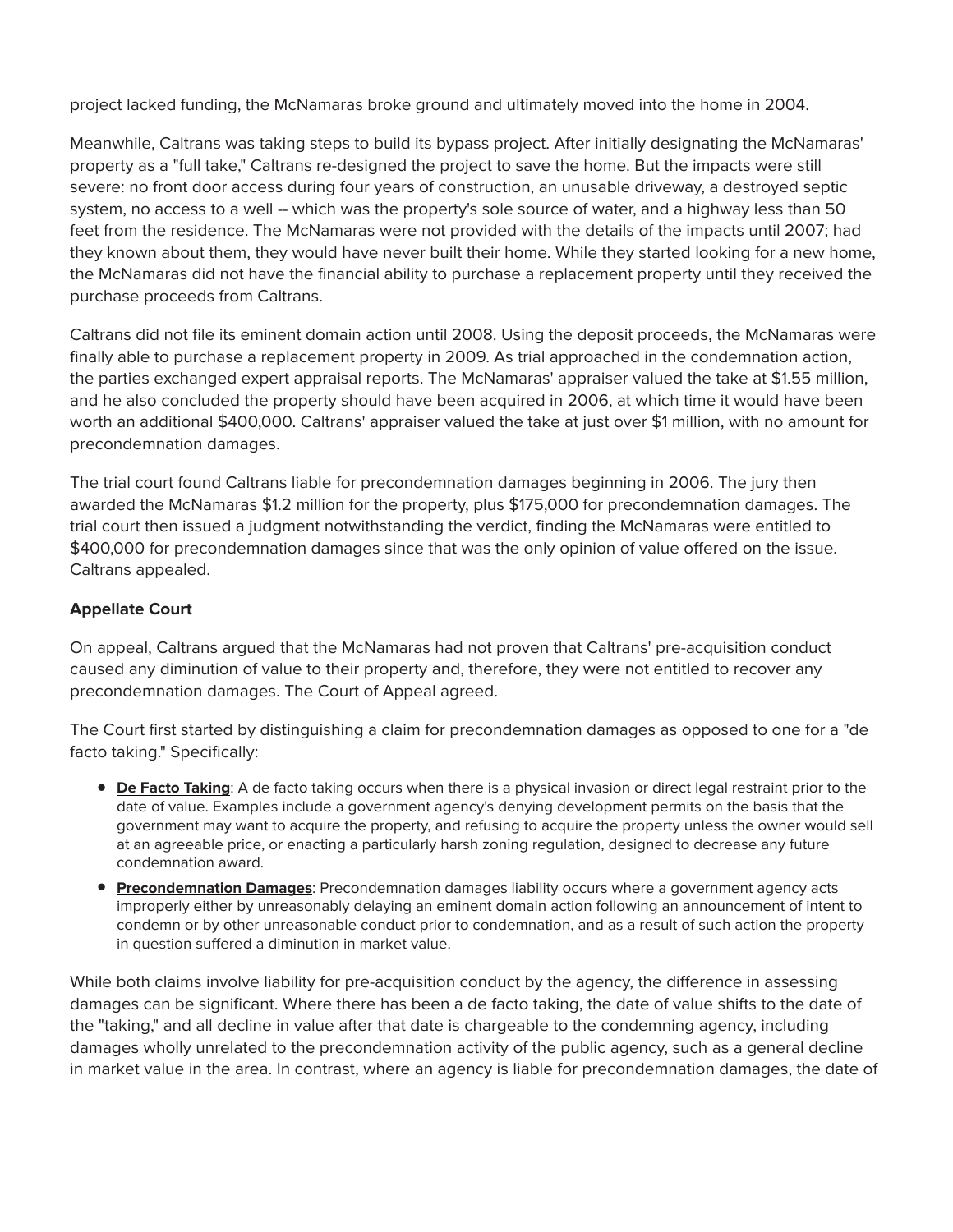project lacked funding, the McNamaras broke ground and ultimately moved into the home in 2004.

Meanwhile, Caltrans was taking steps to build its bypass project. After initially designating the McNamaras' property as a "full take," Caltrans re-designed the project to save the home. But the impacts were still severe: no front door access during four years of construction, an unusable driveway, a destroyed septic system, no access to a well -- which was the property's sole source of water, and a highway less than 50 feet from the residence. The McNamaras were not provided with the details of the impacts until 2007; had they known about them, they would have never built their home. While they started looking for a new home, the McNamaras did not have the financial ability to purchase a replacement property until they received the purchase proceeds from Caltrans.

Caltrans did not file its eminent domain action until 2008. Using the deposit proceeds, the McNamaras were finally able to purchase a replacement property in 2009. As trial approached in the condemnation action, the parties exchanged expert appraisal reports. The McNamaras' appraiser valued the take at \$1.55 million, and he also concluded the property should have been acquired in 2006, at which time it would have been worth an additional \$400,000. Caltrans' appraiser valued the take at just over \$1 million, with no amount for precondemnation damages.

The trial court found Caltrans liable for precondemnation damages beginning in 2006. The jury then awarded the McNamaras \$1.2 million for the property, plus \$175,000 for precondemnation damages. The trial court then issued a judgment notwithstanding the verdict, finding the McNamaras were entitled to \$400,000 for precondemnation damages since that was the only opinion of value offered on the issue. Caltrans appealed.

#### **Appellate Court**

On appeal, Caltrans argued that the McNamaras had not proven that Caltrans' pre-acquisition conduct caused any diminution of value to their property and, therefore, they were not entitled to recover any precondemnation damages. The Court of Appeal agreed.

The Court first started by distinguishing a claim for precondemnation damages as opposed to one for a "de facto taking." Specifically:

- **De Facto Taking**: A de facto taking occurs when there is a physical invasion or direct legal restraint prior to the date of value. Examples include a government agency's denying development permits on the basis that the government may want to acquire the property, and refusing to acquire the property unless the owner would sell at an agreeable price, or enacting a particularly harsh zoning regulation, designed to decrease any future condemnation award.
- **Precondemnation Damages**: Precondemnation damages liability occurs where a government agency acts improperly either by unreasonably delaying an eminent domain action following an announcement of intent to condemn or by other unreasonable conduct prior to condemnation, and as a result of such action the property in question suffered a diminution in market value.

While both claims involve liability for pre-acquisition conduct by the agency, the difference in assessing damages can be significant. Where there has been a de facto taking, the date of value shifts to the date of the "taking," and all decline in value after that date is chargeable to the condemning agency, including damages wholly unrelated to the precondemnation activity of the public agency, such as a general decline in market value in the area. In contrast, where an agency is liable for precondemnation damages, the date of